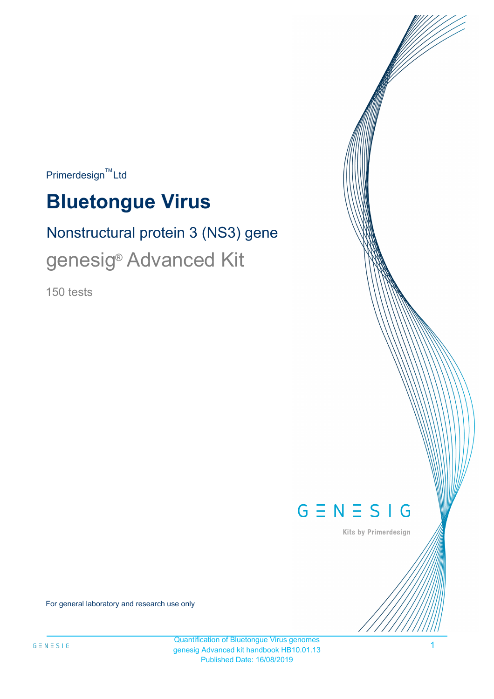$Primer$ design<sup>™</sup>Ltd

# **Bluetongue Virus**

# Nonstructural protein 3 (NS3) gene genesig<sup>®</sup> Advanced Kit

150 tests



Kits by Primerdesign

For general laboratory and research use only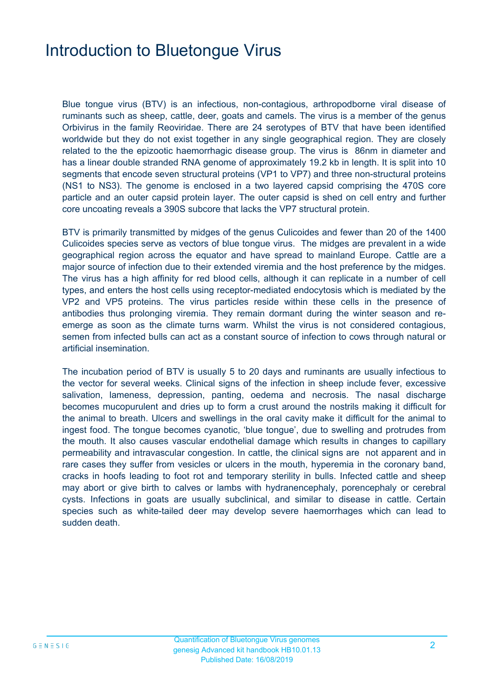## Introduction to Bluetongue Virus

Blue tongue virus (BTV) is an infectious, non-contagious, arthropodborne viral disease of ruminants such as sheep, cattle, deer, goats and camels. The virus is a member of the genus Orbivirus in the family Reoviridae. There are 24 serotypes of BTV that have been identified worldwide but they do not exist together in any single geographical region. They are closely related to the the epizootic haemorrhagic disease group. The virus is 86nm in diameter and has a linear double stranded RNA genome of approximately 19.2 kb in length. It is split into 10 segments that encode seven structural proteins (VP1 to VP7) and three non-structural proteins (NS1 to NS3). The genome is enclosed in a two layered capsid comprising the 470S core particle and an outer capsid protein layer. The outer capsid is shed on cell entry and further core uncoating reveals a 390S subcore that lacks the VP7 structural protein.

BTV is primarily transmitted by midges of the genus Culicoides and fewer than 20 of the 1400 Culicoides species serve as vectors of blue tongue virus. The midges are prevalent in a wide geographical region across the equator and have spread to mainland Europe. Cattle are a major source of infection due to their extended viremia and the host preference by the midges. The virus has a high affinity for red blood cells, although it can replicate in a number of cell types, and enters the host cells using receptor-mediated endocytosis which is mediated by the VP2 and VP5 proteins. The virus particles reside within these cells in the presence of antibodies thus prolonging viremia. They remain dormant during the winter season and reemerge as soon as the climate turns warm. Whilst the virus is not considered contagious, semen from infected bulls can act as a constant source of infection to cows through natural or artificial insemination.

The incubation period of BTV is usually 5 to 20 days and ruminants are usually infectious to the vector for several weeks. Clinical signs of the infection in sheep include fever, excessive salivation, lameness, depression, panting, oedema and necrosis. The nasal discharge becomes mucopurulent and dries up to form a crust around the nostrils making it difficult for the animal to breath. Ulcers and swellings in the oral cavity make it difficult for the animal to ingest food. The tongue becomes cyanotic, 'blue tongue', due to swelling and protrudes from the mouth. It also causes vascular endothelial damage which results in changes to capillary permeability and intravascular congestion. In cattle, the clinical signs are not apparent and in rare cases they suffer from vesicles or ulcers in the mouth, hyperemia in the coronary band, cracks in hoofs leading to foot rot and temporary sterility in bulls. Infected cattle and sheep may abort or give birth to calves or lambs with hydranencephaly, porencephaly or cerebral cysts. Infections in goats are usually subclinical, and similar to disease in cattle. Certain species such as white-tailed deer may develop severe haemorrhages which can lead to sudden death.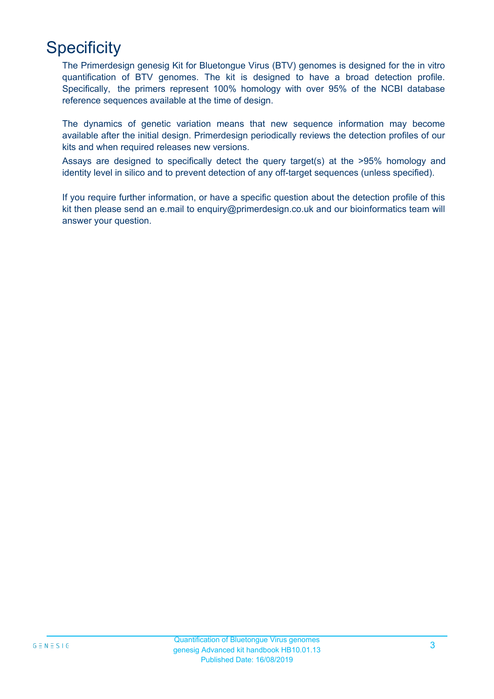# **Specificity**

The Primerdesign genesig Kit for Bluetongue Virus (BTV) genomes is designed for the in vitro quantification of BTV genomes. The kit is designed to have a broad detection profile. Specifically, the primers represent 100% homology with over 95% of the NCBI database reference sequences available at the time of design.

The dynamics of genetic variation means that new sequence information may become available after the initial design. Primerdesign periodically reviews the detection profiles of our kits and when required releases new versions.

Assays are designed to specifically detect the query target(s) at the >95% homology and identity level in silico and to prevent detection of any off-target sequences (unless specified).

If you require further information, or have a specific question about the detection profile of this kit then please send an e.mail to enquiry@primerdesign.co.uk and our bioinformatics team will answer your question.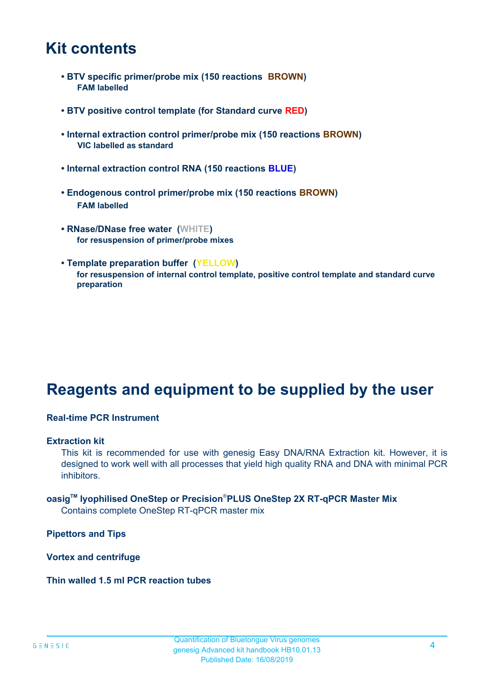### **Kit contents**

- **BTV specific primer/probe mix (150 reactions BROWN) FAM labelled**
- **BTV positive control template (for Standard curve RED)**
- **Internal extraction control primer/probe mix (150 reactions BROWN) VIC labelled as standard**
- **Internal extraction control RNA (150 reactions BLUE)**
- **Endogenous control primer/probe mix (150 reactions BROWN) FAM labelled**
- **RNase/DNase free water (WHITE) for resuspension of primer/probe mixes**
- **Template preparation buffer (YELLOW) for resuspension of internal control template, positive control template and standard curve preparation**

# **Reagents and equipment to be supplied by the user**

#### **Real-time PCR Instrument**

#### **Extraction kit**

This kit is recommended for use with genesig Easy DNA/RNA Extraction kit. However, it is designed to work well with all processes that yield high quality RNA and DNA with minimal PCR inhibitors.

### **oasigTM lyophilised OneStep or Precision**®**PLUS OneStep 2X RT-qPCR Master Mix**

Contains complete OneStep RT-qPCR master mix

**Pipettors and Tips**

**Vortex and centrifuge**

**Thin walled 1.5 ml PCR reaction tubes**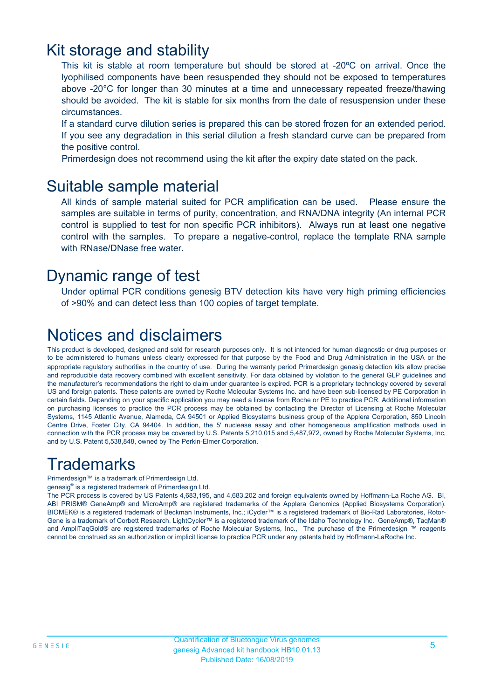### Kit storage and stability

This kit is stable at room temperature but should be stored at -20ºC on arrival. Once the lyophilised components have been resuspended they should not be exposed to temperatures above -20°C for longer than 30 minutes at a time and unnecessary repeated freeze/thawing should be avoided. The kit is stable for six months from the date of resuspension under these circumstances.

If a standard curve dilution series is prepared this can be stored frozen for an extended period. If you see any degradation in this serial dilution a fresh standard curve can be prepared from the positive control.

Primerdesign does not recommend using the kit after the expiry date stated on the pack.

### Suitable sample material

All kinds of sample material suited for PCR amplification can be used. Please ensure the samples are suitable in terms of purity, concentration, and RNA/DNA integrity (An internal PCR control is supplied to test for non specific PCR inhibitors). Always run at least one negative control with the samples. To prepare a negative-control, replace the template RNA sample with RNase/DNase free water.

### Dynamic range of test

Under optimal PCR conditions genesig BTV detection kits have very high priming efficiencies of >90% and can detect less than 100 copies of target template.

# Notices and disclaimers

This product is developed, designed and sold for research purposes only. It is not intended for human diagnostic or drug purposes or to be administered to humans unless clearly expressed for that purpose by the Food and Drug Administration in the USA or the appropriate regulatory authorities in the country of use. During the warranty period Primerdesign genesig detection kits allow precise and reproducible data recovery combined with excellent sensitivity. For data obtained by violation to the general GLP guidelines and the manufacturer's recommendations the right to claim under guarantee is expired. PCR is a proprietary technology covered by several US and foreign patents. These patents are owned by Roche Molecular Systems Inc. and have been sub-licensed by PE Corporation in certain fields. Depending on your specific application you may need a license from Roche or PE to practice PCR. Additional information on purchasing licenses to practice the PCR process may be obtained by contacting the Director of Licensing at Roche Molecular Systems, 1145 Atlantic Avenue, Alameda, CA 94501 or Applied Biosystems business group of the Applera Corporation, 850 Lincoln Centre Drive, Foster City, CA 94404. In addition, the 5' nuclease assay and other homogeneous amplification methods used in connection with the PCR process may be covered by U.S. Patents 5,210,015 and 5,487,972, owned by Roche Molecular Systems, Inc, and by U.S. Patent 5,538,848, owned by The Perkin-Elmer Corporation.

# **Trademarks**

Primerdesign™ is a trademark of Primerdesign Ltd.

genesig® is a registered trademark of Primerdesign Ltd.

The PCR process is covered by US Patents 4,683,195, and 4,683,202 and foreign equivalents owned by Hoffmann-La Roche AG. BI, ABI PRISM® GeneAmp® and MicroAmp® are registered trademarks of the Applera Genomics (Applied Biosystems Corporation). BIOMEK® is a registered trademark of Beckman Instruments, Inc.; iCycler™ is a registered trademark of Bio-Rad Laboratories, Rotor-Gene is a trademark of Corbett Research. LightCycler™ is a registered trademark of the Idaho Technology Inc. GeneAmp®, TaqMan® and AmpliTaqGold® are registered trademarks of Roche Molecular Systems, Inc., The purchase of the Primerdesign ™ reagents cannot be construed as an authorization or implicit license to practice PCR under any patents held by Hoffmann-LaRoche Inc.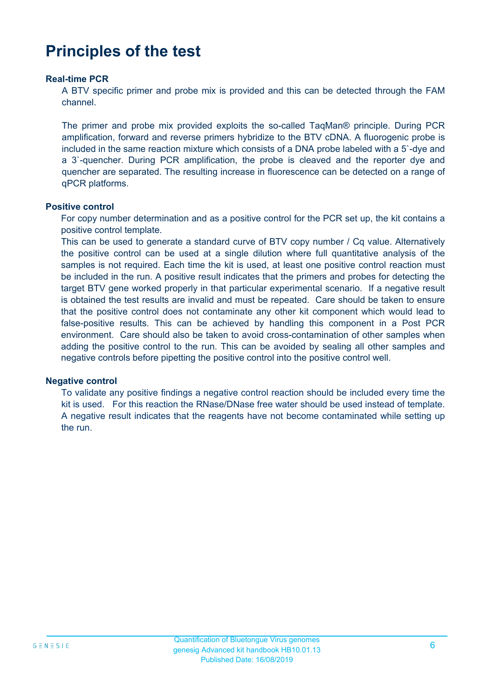# **Principles of the test**

#### **Real-time PCR**

A BTV specific primer and probe mix is provided and this can be detected through the FAM channel.

The primer and probe mix provided exploits the so-called TaqMan® principle. During PCR amplification, forward and reverse primers hybridize to the BTV cDNA. A fluorogenic probe is included in the same reaction mixture which consists of a DNA probe labeled with a 5`-dye and a 3`-quencher. During PCR amplification, the probe is cleaved and the reporter dye and quencher are separated. The resulting increase in fluorescence can be detected on a range of qPCR platforms.

#### **Positive control**

For copy number determination and as a positive control for the PCR set up, the kit contains a positive control template.

This can be used to generate a standard curve of BTV copy number / Cq value. Alternatively the positive control can be used at a single dilution where full quantitative analysis of the samples is not required. Each time the kit is used, at least one positive control reaction must be included in the run. A positive result indicates that the primers and probes for detecting the target BTV gene worked properly in that particular experimental scenario. If a negative result is obtained the test results are invalid and must be repeated. Care should be taken to ensure that the positive control does not contaminate any other kit component which would lead to false-positive results. This can be achieved by handling this component in a Post PCR environment. Care should also be taken to avoid cross-contamination of other samples when adding the positive control to the run. This can be avoided by sealing all other samples and negative controls before pipetting the positive control into the positive control well.

#### **Negative control**

To validate any positive findings a negative control reaction should be included every time the kit is used. For this reaction the RNase/DNase free water should be used instead of template. A negative result indicates that the reagents have not become contaminated while setting up the run.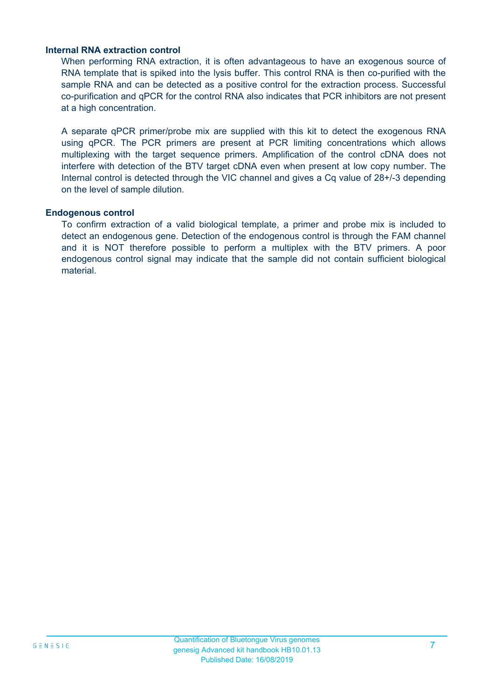#### **Internal RNA extraction control**

When performing RNA extraction, it is often advantageous to have an exogenous source of RNA template that is spiked into the lysis buffer. This control RNA is then co-purified with the sample RNA and can be detected as a positive control for the extraction process. Successful co-purification and qPCR for the control RNA also indicates that PCR inhibitors are not present at a high concentration.

A separate qPCR primer/probe mix are supplied with this kit to detect the exogenous RNA using qPCR. The PCR primers are present at PCR limiting concentrations which allows multiplexing with the target sequence primers. Amplification of the control cDNA does not interfere with detection of the BTV target cDNA even when present at low copy number. The Internal control is detected through the VIC channel and gives a Cq value of 28+/-3 depending on the level of sample dilution.

#### **Endogenous control**

To confirm extraction of a valid biological template, a primer and probe mix is included to detect an endogenous gene. Detection of the endogenous control is through the FAM channel and it is NOT therefore possible to perform a multiplex with the BTV primers. A poor endogenous control signal may indicate that the sample did not contain sufficient biological material.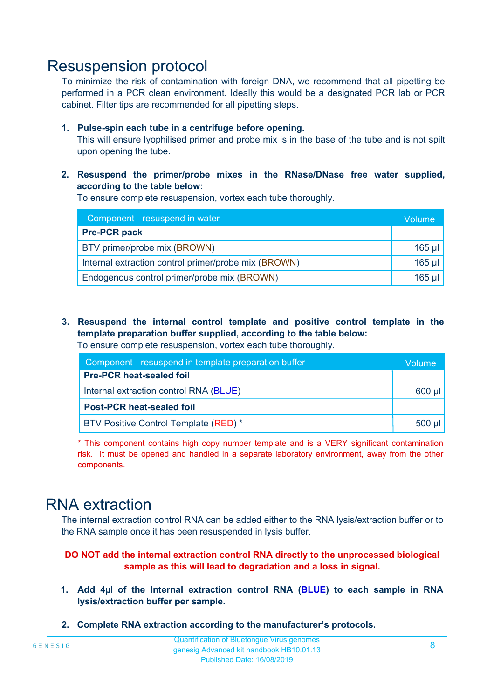### Resuspension protocol

To minimize the risk of contamination with foreign DNA, we recommend that all pipetting be performed in a PCR clean environment. Ideally this would be a designated PCR lab or PCR cabinet. Filter tips are recommended for all pipetting steps.

#### **1. Pulse-spin each tube in a centrifuge before opening.**

This will ensure lyophilised primer and probe mix is in the base of the tube and is not spilt upon opening the tube.

**2. Resuspend the primer/probe mixes in the RNase/DNase free water supplied, according to the table below:**

To ensure complete resuspension, vortex each tube thoroughly.

| Component - resuspend in water                       |          |  |
|------------------------------------------------------|----------|--|
| <b>Pre-PCR pack</b>                                  |          |  |
| BTV primer/probe mix (BROWN)                         | $165$ µl |  |
| Internal extraction control primer/probe mix (BROWN) | $165$ µl |  |
| Endogenous control primer/probe mix (BROWN)          | 165 µl   |  |

**3. Resuspend the internal control template and positive control template in the template preparation buffer supplied, according to the table below:** To ensure complete resuspension, vortex each tube thoroughly.

| Component - resuspend in template preparation buffer |          |  |
|------------------------------------------------------|----------|--|
| <b>Pre-PCR heat-sealed foil</b>                      |          |  |
| Internal extraction control RNA (BLUE)               |          |  |
| <b>Post-PCR heat-sealed foil</b>                     |          |  |
| BTV Positive Control Template (RED) *                | $500$ µl |  |

\* This component contains high copy number template and is a VERY significant contamination risk. It must be opened and handled in a separate laboratory environment, away from the other components.

### RNA extraction

The internal extraction control RNA can be added either to the RNA lysis/extraction buffer or to the RNA sample once it has been resuspended in lysis buffer.

#### **DO NOT add the internal extraction control RNA directly to the unprocessed biological sample as this will lead to degradation and a loss in signal.**

- **1. Add 4µ**l **of the Internal extraction control RNA (BLUE) to each sample in RNA lysis/extraction buffer per sample.**
- **2. Complete RNA extraction according to the manufacturer's protocols.**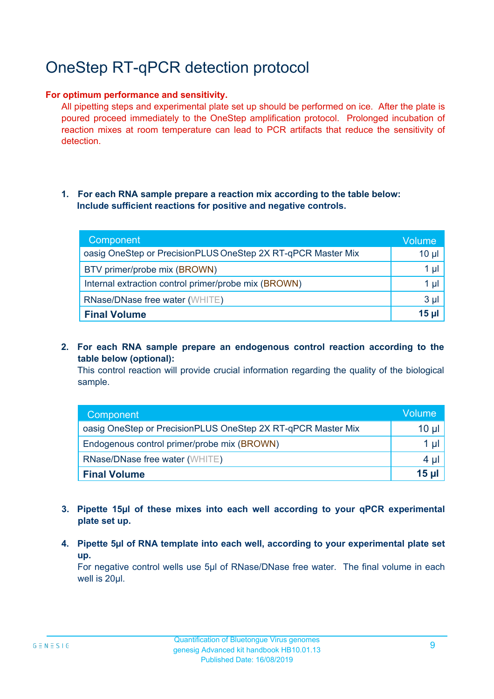# OneStep RT-qPCR detection protocol

#### **For optimum performance and sensitivity.**

All pipetting steps and experimental plate set up should be performed on ice. After the plate is poured proceed immediately to the OneStep amplification protocol. Prolonged incubation of reaction mixes at room temperature can lead to PCR artifacts that reduce the sensitivity of detection.

#### **1. For each RNA sample prepare a reaction mix according to the table below: Include sufficient reactions for positive and negative controls.**

| Component                                                    | <b>Volume</b>   |
|--------------------------------------------------------------|-----------------|
| oasig OneStep or PrecisionPLUS OneStep 2X RT-qPCR Master Mix | $10 \mu$        |
| BTV primer/probe mix (BROWN)                                 | 1 µl            |
| Internal extraction control primer/probe mix (BROWN)         | $1 \mu$         |
| <b>RNase/DNase free water (WHITE)</b>                        | $3 \mu$         |
| <b>Final Volume</b>                                          | 15 <sub>µ</sub> |

**2. For each RNA sample prepare an endogenous control reaction according to the table below (optional):**

This control reaction will provide crucial information regarding the quality of the biological sample.

| Component                                                    | Volume |
|--------------------------------------------------------------|--------|
| oasig OneStep or PrecisionPLUS OneStep 2X RT-qPCR Master Mix | 10 µl  |
| Endogenous control primer/probe mix (BROWN)                  | 1 µl   |
| <b>RNase/DNase free water (WHITE)</b>                        | 4 µl   |
| <b>Final Volume</b>                                          | 15 ul  |

- **3. Pipette 15µl of these mixes into each well according to your qPCR experimental plate set up.**
- **4. Pipette 5µl of RNA template into each well, according to your experimental plate set up.**

For negative control wells use 5µl of RNase/DNase free water. The final volume in each well is 20ul.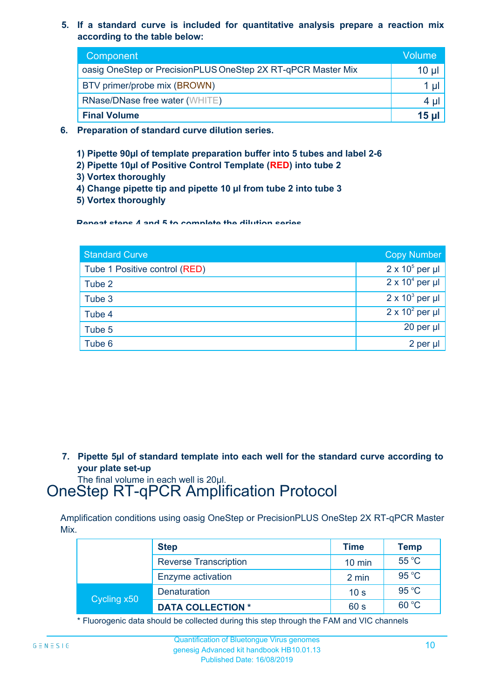**5. If a standard curve is included for quantitative analysis prepare a reaction mix according to the table below:**

| Component                                                    | Volume       |
|--------------------------------------------------------------|--------------|
| oasig OneStep or PrecisionPLUS OneStep 2X RT-qPCR Master Mix | $10 \mu$     |
| BTV primer/probe mix (BROWN)                                 |              |
| <b>RNase/DNase free water (WHITE)</b>                        | 4 µl         |
| <b>Final Volume</b>                                          | <u>15 ul</u> |

- **6. Preparation of standard curve dilution series.**
	- **1) Pipette 90µl of template preparation buffer into 5 tubes and label 2-6**
	- **2) Pipette 10µl of Positive Control Template (RED) into tube 2**
	- **3) Vortex thoroughly**
	- **4) Change pipette tip and pipette 10 µl from tube 2 into tube 3**
	- **5) Vortex thoroughly**

**Repeat steps 4 and 5 to complete the dilution series**

| <b>Standard Curve</b>         | <b>Copy Number</b>     |
|-------------------------------|------------------------|
| Tube 1 Positive control (RED) | $2 \times 10^5$ per µl |
| Tube 2                        | $2 \times 10^4$ per µl |
| Tube 3                        | $2 \times 10^3$ per µl |
| Tube 4                        | $2 \times 10^2$ per µl |
| Tube 5                        | 20 per µl              |
| Tube 6                        | 2 per µl               |

**7. Pipette 5µl of standard template into each well for the standard curve according to your plate set-up**

The final volume in each well is 20µl.

# OneStep RT-qPCR Amplification Protocol

Amplification conditions using oasig OneStep or PrecisionPLUS OneStep 2X RT-qPCR Master Mix.

|             | <b>Step</b>                  | <b>Time</b>      | <b>Temp</b> |
|-------------|------------------------------|------------------|-------------|
|             | <b>Reverse Transcription</b> | $10 \text{ min}$ | 55 °C       |
|             | Enzyme activation            | 2 min            | 95 °C       |
| Cycling x50 | <b>Denaturation</b>          | 10 <sub>s</sub>  | 95 °C       |
|             | <b>DATA COLLECTION *</b>     | 60 s             | 60 °C       |

\* Fluorogenic data should be collected during this step through the FAM and VIC channels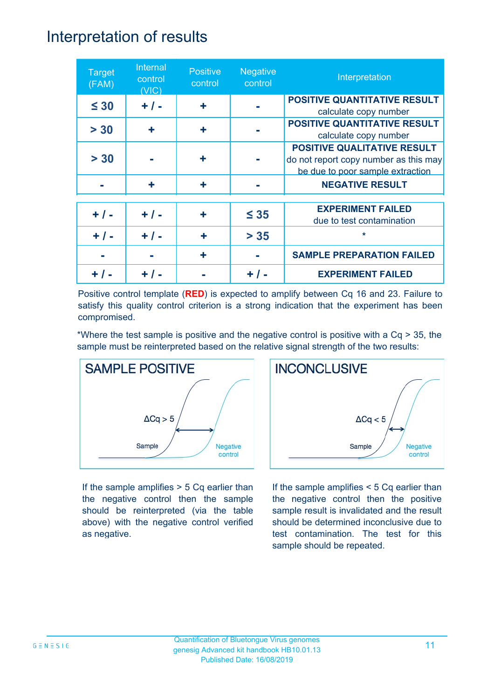### Interpretation of results

| <b>Target</b><br>(FAM) | Internal<br>control<br>(VIC) | <b>Positive</b><br>control | <b>Negative</b><br>control | Interpretation                                                                                                  |
|------------------------|------------------------------|----------------------------|----------------------------|-----------------------------------------------------------------------------------------------------------------|
| $\leq 30$              | $+ / -$                      | ÷                          |                            | <b>POSITIVE QUANTITATIVE RESULT</b><br>calculate copy number                                                    |
| > 30                   | ÷                            | ÷                          |                            | <b>POSITIVE QUANTITATIVE RESULT</b><br>calculate copy number                                                    |
| > 30                   |                              | ٠                          |                            | <b>POSITIVE QUALITATIVE RESULT</b><br>do not report copy number as this may<br>be due to poor sample extraction |
|                        | ÷                            | ٠                          |                            | <b>NEGATIVE RESULT</b>                                                                                          |
| $+ / -$                | $+ / -$                      | ٠                          | $\leq 35$                  | <b>EXPERIMENT FAILED</b><br>due to test contamination                                                           |
| $+ 1 -$                | $+ 1 -$                      | ÷                          | $> 35$                     | $\star$                                                                                                         |
|                        |                              |                            |                            | <b>SAMPLE PREPARATION FAILED</b>                                                                                |
|                        |                              |                            |                            | <b>EXPERIMENT FAILED</b>                                                                                        |

Positive control template (**RED**) is expected to amplify between Cq 16 and 23. Failure to satisfy this quality control criterion is a strong indication that the experiment has been compromised.

\*Where the test sample is positive and the negative control is positive with a Cq > 35, the sample must be reinterpreted based on the relative signal strength of the two results:



If the sample amplifies > 5 Cq earlier than the negative control then the sample should be reinterpreted (via the table above) with the negative control verified as negative.



If the sample amplifies < 5 Cq earlier than the negative control then the positive sample result is invalidated and the result should be determined inconclusive due to test contamination. The test for this sample should be repeated.